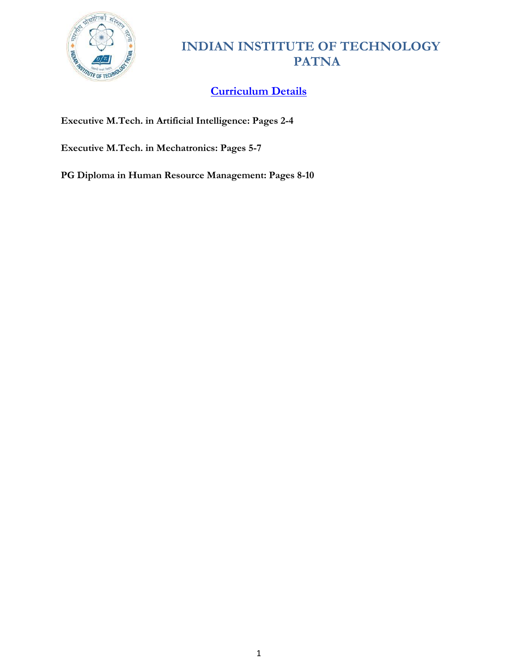

# **Curriculum Details**

**Executive M.Tech. in Artificial Intelligence: Pages 2-4**

**Executive M.Tech. in Mechatronics: Pages 5-7**

**PG Diploma in Human Resource Management: Pages 8-10**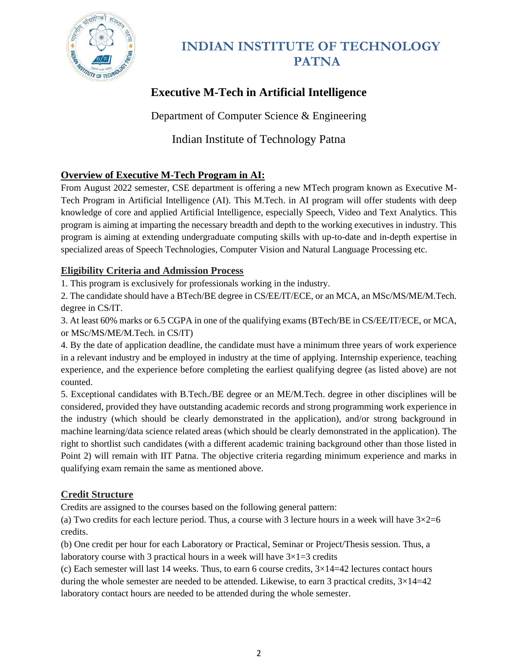

# **Executive M-Tech in Artificial Intelligence**

Department of Computer Science & Engineering

## Indian Institute of Technology Patna

### **Overview of Executive M-Tech Program in AI:**

From August 2022 semester, CSE department is offering a new MTech program known as Executive M-Tech Program in Artificial Intelligence (AI). This M.Tech. in AI program will offer students with deep knowledge of core and applied Artificial Intelligence, especially Speech, Video and Text Analytics. This program is aiming at imparting the necessary breadth and depth to the working executives in industry. This program is aiming at extending undergraduate computing skills with up-to-date and in-depth expertise in specialized areas of Speech Technologies, Computer Vision and Natural Language Processing etc.

### **Eligibility Criteria and Admission Process**

1. This program is exclusively for professionals working in the industry.

2. The candidate should have a BTech/BE degree in CS/EE/IT/ECE, or an MCA, an MSc/MS/ME/M.Tech. degree in CS/IT.

3. At least 60% marks or 6.5 CGPA in one of the qualifying exams (BTech/BE in CS/EE/IT/ECE, or MCA, or MSc/MS/ME/M.Tech. in CS/IT)

4. By the date of application deadline, the candidate must have a minimum three years of work experience in a relevant industry and be employed in industry at the time of applying. Internship experience, teaching experience, and the experience before completing the earliest qualifying degree (as listed above) are not counted.

5. Exceptional candidates with B.Tech./BE degree or an ME/M.Tech. degree in other disciplines will be considered, provided they have outstanding academic records and strong programming work experience in the industry (which should be clearly demonstrated in the application), and/or strong background in machine learning/data science related areas (which should be clearly demonstrated in the application). The right to shortlist such candidates (with a different academic training background other than those listed in Point 2) will remain with IIT Patna. The objective criteria regarding minimum experience and marks in qualifying exam remain the same as mentioned above.

### **Credit Structure**

Credits are assigned to the courses based on the following general pattern:

(a) Two credits for each lecture period. Thus, a course with 3 lecture hours in a week will have  $3 \times 2 = 6$ credits.

(b) One credit per hour for each Laboratory or Practical, Seminar or Project/Thesis session. Thus, a laboratory course with 3 practical hours in a week will have  $3\times1=3$  credits

(c) Each semester will last 14 weeks. Thus, to earn 6 course credits,  $3\times14=42$  lectures contact hours during the whole semester are needed to be attended. Likewise, to earn 3 practical credits,  $3\times14=42$ laboratory contact hours are needed to be attended during the whole semester.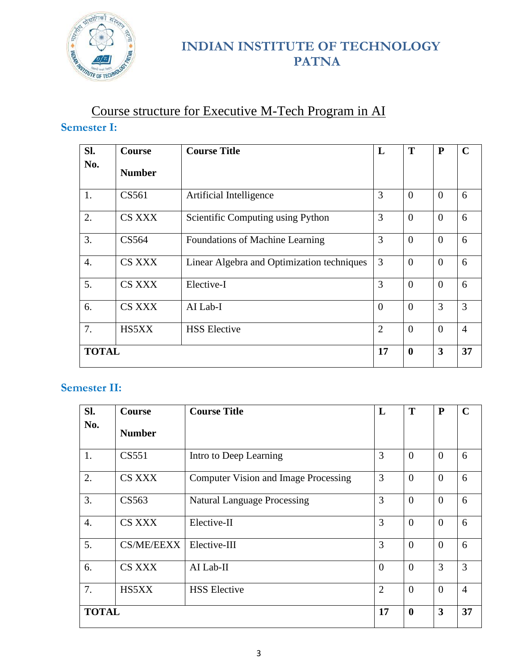

# Course structure for Executive M-Tech Program in AI **Semester I:**

| SI.          | Course        | <b>Course Title</b>                        | L              | T                | P                       | $\mathbf C$    |
|--------------|---------------|--------------------------------------------|----------------|------------------|-------------------------|----------------|
| No.          | <b>Number</b> |                                            |                |                  |                         |                |
| 1.           | CS561         | Artificial Intelligence                    | 3              | $\overline{0}$   | $\Omega$                | 6              |
| 2.           | <b>CS XXX</b> | Scientific Computing using Python          | 3              | $\overline{0}$   | $\Omega$                | 6              |
| 3.           | CS564         | Foundations of Machine Learning            | 3              | $\theta$         | $\theta$                | 6              |
| 4.           | <b>CS XXX</b> | Linear Algebra and Optimization techniques | 3              | $\Omega$         | $\Omega$                | 6              |
| 5.           | CS XXX        | Elective-I                                 | 3              | $\overline{0}$   | $\overline{0}$          | 6              |
| 6.           | <b>CS XXX</b> | AI Lab-I                                   | $\theta$       | $\theta$         | 3                       | 3              |
| 7.           | HS5XX         | <b>HSS</b> Elective                        | $\overline{2}$ | $\overline{0}$   | $\Omega$                | $\overline{4}$ |
| <b>TOTAL</b> |               |                                            | 17             | $\boldsymbol{0}$ | $\overline{\mathbf{3}}$ | 37             |

## **Semester II:**

| SI.              | Course            | <b>Course Title</b>                         | L              | T                | P        | $\mathbf C$    |
|------------------|-------------------|---------------------------------------------|----------------|------------------|----------|----------------|
| No.              | <b>Number</b>     |                                             |                |                  |          |                |
| 1.               | CS551             | Intro to Deep Learning                      | 3              | $\theta$         | $\theta$ | 6              |
| 2.               | <b>CS XXX</b>     | <b>Computer Vision and Image Processing</b> | 3              | $\theta$         | $\theta$ | 6              |
| 3.               | CS563             | <b>Natural Language Processing</b>          | 3              | $\overline{0}$   | $\theta$ | 6              |
| $\overline{4}$ . | <b>CS XXX</b>     | Elective-II                                 | 3              | $\theta$         | $\theta$ | 6              |
| 5.               | <b>CS/ME/EEXX</b> | Elective-III                                | 3              | $\theta$         | $\Omega$ | 6              |
| 6.               | <b>CS XXX</b>     | AI Lab-II                                   | $\theta$       | $\theta$         | 3        | 3              |
| 7.               | HS5XX             | <b>HSS</b> Elective                         | $\overline{2}$ | $\overline{0}$   | $\theta$ | $\overline{4}$ |
| <b>TOTAL</b>     |                   |                                             | 17             | $\boldsymbol{0}$ | 3        | 37             |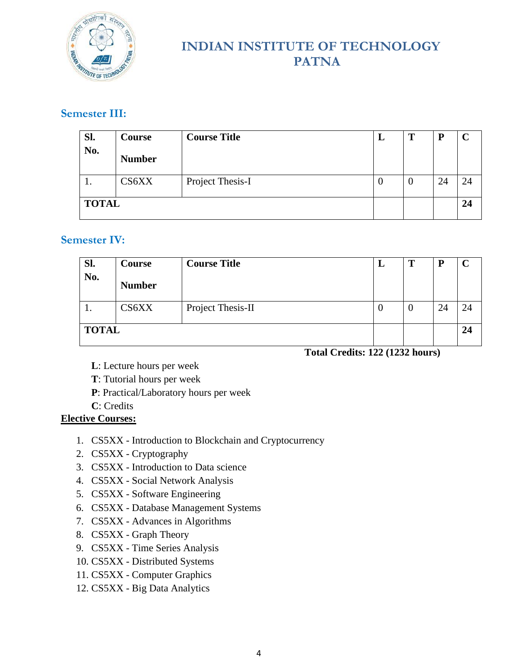

## **Semester III:**

| Sl.          | Course        | <b>Course Title</b> | L | т | D  |    |
|--------------|---------------|---------------------|---|---|----|----|
| No.          | <b>Number</b> |                     |   |   |    |    |
| . .          | CS6XX         | Project Thesis-I    | v | v | 24 | 24 |
| <b>TOTAL</b> |               |                     |   |   |    | 24 |

### **Semester IV:**

| Sl.          | Course        | <b>Course Title</b> | ┻        | Т | ח  |    |
|--------------|---------------|---------------------|----------|---|----|----|
| No.          | <b>Number</b> |                     |          |   |    |    |
| .,           | CS6XX         | Project Thesis-II   | <b>U</b> | v | 24 | 24 |
| <b>TOTAL</b> |               |                     |          |   |    | 24 |

#### **Total Credits: 122 (1232 hours)**

- **L**: Lecture hours per week
- **T**: Tutorial hours per week
- **P**: Practical/Laboratory hours per week
- **C**: Credits

#### **Elective Courses:**

- 1. CS5XX Introduction to Blockchain and Cryptocurrency
- 2. CS5XX Cryptography
- 3. CS5XX Introduction to Data science
- 4. CS5XX Social Network Analysis
- 5. CS5XX Software Engineering
- 6. CS5XX Database Management Systems
- 7. CS5XX Advances in Algorithms
- 8. CS5XX Graph Theory
- 9. CS5XX Time Series Analysis
- 10. CS5XX Distributed Systems
- 11. CS5XX Computer Graphics
- 12. CS5XX Big Data Analytics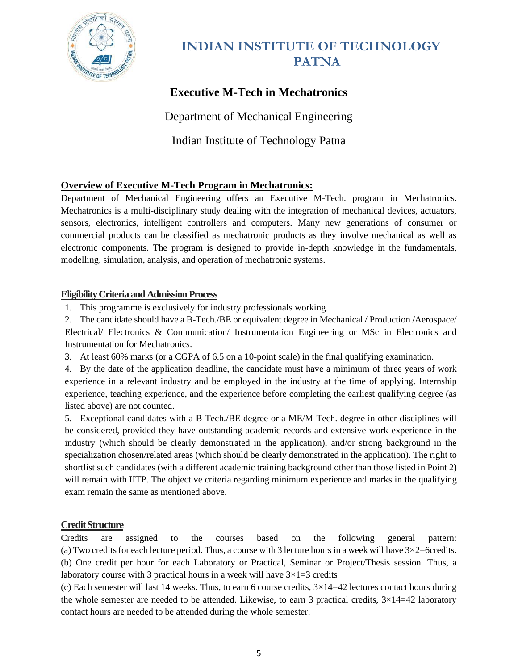

# **Executive M-Tech in Mechatronics**

Department of Mechanical Engineering

Indian Institute of Technology Patna

### **Overview of Executive M-Tech Program in Mechatronics:**

Department of Mechanical Engineering offers an Executive M-Tech. program in Mechatronics. Mechatronics is a multi-disciplinary study dealing with the integration of mechanical devices, actuators, sensors, electronics, intelligent controllers and computers. Many new generations of consumer or commercial products can be classified as mechatronic products as they involve mechanical as well as electronic components. The program is designed to provide in-depth knowledge in the fundamentals, modelling, simulation, analysis, and operation of mechatronic systems.

#### **Eligibility Criteria and Admission Process**

1. This programme is exclusively for industry professionals working.

2. The candidate should have a B-Tech./BE or equivalent degree in Mechanical / Production /Aerospace/ Electrical/ Electronics & Communication/ Instrumentation Engineering or MSc in Electronics and Instrumentation for Mechatronics.

3. At least 60% marks (or a CGPA of 6.5 on a 10-point scale) in the final qualifying examination.

4. By the date of the application deadline, the candidate must have a minimum of three years of work experience in a relevant industry and be employed in the industry at the time of applying. Internship experience, teaching experience, and the experience before completing the earliest qualifying degree (as listed above) are not counted.

5. Exceptional candidates with a B-Tech./BE degree or a ME/M-Tech. degree in other disciplines will be considered, provided they have outstanding academic records and extensive work experience in the industry (which should be clearly demonstrated in the application), and/or strong background in the specialization chosen/related areas (which should be clearly demonstrated in the application). The right to shortlist such candidates (with a different academic training background other than those listed in Point 2) will remain with IITP. The objective criteria regarding minimum experience and marks in the qualifying exam remain the same as mentioned above.

#### **Credit Structure**

Credits are assigned to the courses based on the following general pattern: (a) Two credits for each lecture period. Thus, a course with 3 lecture hours in a week will have  $3 \times 2$ =6credits. (b) One credit per hour for each Laboratory or Practical, Seminar or Project/Thesis session. Thus, a laboratory course with 3 practical hours in a week will have  $3\times1=3$  credits

(c) Each semester will last 14 weeks. Thus, to earn 6 course credits,  $3\times14=42$  lectures contact hours during the whole semester are needed to be attended. Likewise, to earn 3 practical credits,  $3\times14=42$  laboratory contact hours are needed to be attended during the whole semester.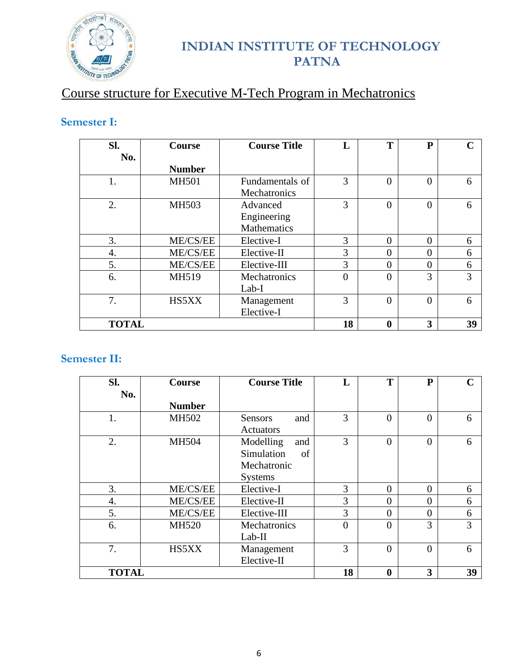

# Course structure for Executive M-Tech Program in Mechatronics

## **Semester I:**

| SI.          | <b>Course</b> | <b>Course Title</b> | L        | T                | ${\bf P}$ | $\mathbf C$ |
|--------------|---------------|---------------------|----------|------------------|-----------|-------------|
| No.          |               |                     |          |                  |           |             |
|              | <b>Number</b> |                     |          |                  |           |             |
| 1.           | <b>MH501</b>  | Fundamentals of     | 3        | $\theta$         | $\Omega$  | 6           |
|              |               | Mechatronics        |          |                  |           |             |
| 2.           | MH503         | Advanced            | 3        | $\theta$         | $\Omega$  | 6           |
|              |               | Engineering         |          |                  |           |             |
|              |               | Mathematics         |          |                  |           |             |
| 3.           | ME/CS/EE      | Elective-I          | 3        | $\Omega$         | $\Omega$  | 6           |
| 4.           | ME/CS/EE      | Elective-II         | 3        | $\Omega$         | $\Omega$  | 6           |
| 5.           | ME/CS/EE      | Elective-III        | 3        | $\theta$         | $\Omega$  | 6           |
| 6.           | MH519         | Mechatronics        | $\Omega$ | $\Omega$         | 3         | 3           |
|              |               | Lab-I               |          |                  |           |             |
| 7.           | HS5XX         | Management          | 3        | $\theta$         | $\Omega$  | 6           |
|              |               | Elective-I          |          |                  |           |             |
| <b>TOTAL</b> |               |                     | 18       | $\boldsymbol{0}$ | 3         | 39          |

## **Semester II:**

| SI.          | <b>Course</b> | <b>Course Title</b>                                                   | L        | T                | ${\bf P}$ | $\mathbf C$ |
|--------------|---------------|-----------------------------------------------------------------------|----------|------------------|-----------|-------------|
| No.          | <b>Number</b> |                                                                       |          |                  |           |             |
| 1.           | MH502         | <b>Sensors</b><br>and<br>Actuators                                    | 3        | $\Omega$         | $\Omega$  | 6           |
| 2.           | <b>MH504</b>  | Modelling<br>and<br>Simulation<br>of<br>Mechatronic<br><b>Systems</b> | 3        | $\theta$         | $\Omega$  | 6           |
| 3.           | ME/CS/EE      | Elective-I                                                            | 3        | $\theta$         | $\theta$  | 6           |
| 4.           | ME/CS/EE      | Elective-II                                                           | 3        | $\Omega$         | $\Omega$  | 6           |
| 5.           | ME/CS/EE      | Elective-III                                                          | 3        | $\theta$         | $\Omega$  | 6           |
| 6.           | <b>MH520</b>  | Mechatronics<br>Lab-II                                                | $\Omega$ | $\overline{0}$   | 3         | 3           |
| 7.           | HS5XX         | Management<br>Elective-II                                             | 3        | $\theta$         | $\theta$  | 6           |
| <b>TOTAL</b> |               |                                                                       | 18       | $\boldsymbol{0}$ | 3         | 39          |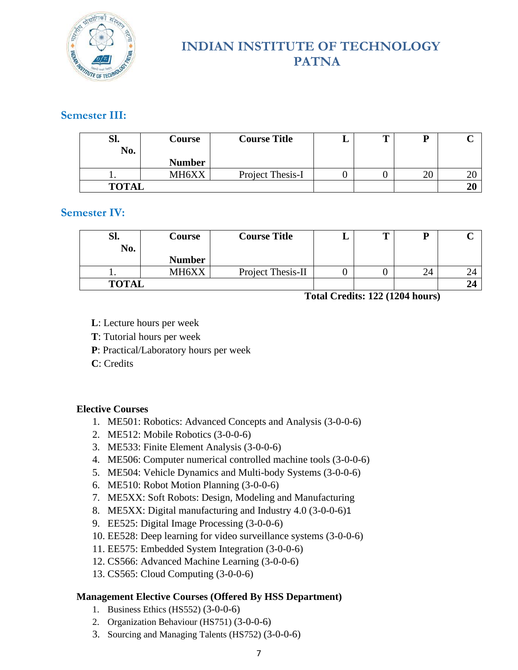

### **Semester III:**

| Sl.<br>No.   | Course        | <b>Course Title</b> | m |    |    |
|--------------|---------------|---------------------|---|----|----|
|              | <b>Number</b> |                     |   |    |    |
| . .          | MH6XX         | Project Thesis-I    |   | 20 | ∠⊾ |
| <b>TOTAL</b> |               |                     |   |    |    |

### **Semester IV:**

| Sl.<br>No.   | Course        | <b>Course Title</b> |  |    |  |
|--------------|---------------|---------------------|--|----|--|
|              | <b>Number</b> |                     |  |    |  |
| . .          | MH6XX         | Project Thesis-II   |  | 24 |  |
| <b>TOTAL</b> |               |                     |  |    |  |

**Total Credits: 122 (1204 hours)**

- **L**: Lecture hours per week
- **T**: Tutorial hours per week
- **P**: Practical/Laboratory hours per week
- **C**: Credits

### **Elective Courses**

- 1. ME501: Robotics: Advanced Concepts and Analysis (3-0-0-6)
- 2. ME512: Mobile Robotics (3-0-0-6)
- 3. ME533: Finite Element Analysis (3-0-0-6)
- 4. ME506: Computer numerical controlled machine tools (3-0-0-6)
- 5. ME504: Vehicle Dynamics and Multi-body Systems (3-0-0-6)
- 6. ME510: Robot Motion Planning (3-0-0-6)
- 7. ME5XX: Soft Robots: Design, Modeling and Manufacturing
- 8. ME5XX: Digital manufacturing and Industry 4.0 (3-0-0-6)1
- 9. EE525: Digital Image Processing (3-0-0-6)
- 10. EE528: Deep learning for video surveillance systems (3-0-0-6)
- 11. EE575: Embedded System Integration (3-0-0-6)
- 12. CS566: Advanced Machine Learning (3-0-0-6)
- 13. CS565: Cloud Computing (3-0-0-6)

### **Management Elective Courses (Offered By HSS Department)**

- 1. Business Ethics (HS552) (3-0-0-6)
- 2. Organization Behaviour (HS751) (3-0-0-6)
- 3. Sourcing and Managing Talents (HS752) (3-0-0-6)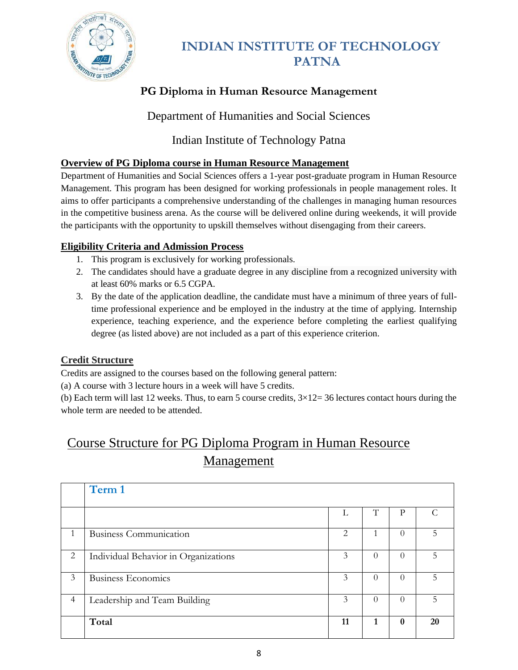

# **PG Diploma in Human Resource Management**

Department of Humanities and Social Sciences

## Indian Institute of Technology Patna

### **Overview of PG Diploma course in Human Resource Management**

Department of Humanities and Social Sciences offers a 1-year post-graduate program in Human Resource Management. This program has been designed for working professionals in people management roles. It aims to offer participants a comprehensive understanding of the challenges in managing human resources in the competitive business arena. As the course will be delivered online during weekends, it will provide the participants with the opportunity to upskill themselves without disengaging from their careers.

### **Eligibility Criteria and Admission Process**

- 1. This program is exclusively for working professionals.
- 2. The candidates should have a graduate degree in any discipline from a recognized university with at least 60% marks or 6.5 CGPA.
- 3. By the date of the application deadline, the candidate must have a minimum of three years of fulltime professional experience and be employed in the industry at the time of applying. Internship experience, teaching experience, and the experience before completing the earliest qualifying degree (as listed above) are not included as a part of this experience criterion.

## **Credit Structure**

Credits are assigned to the courses based on the following general pattern:

(a) A course with 3 lecture hours in a week will have 5 credits.

(b) Each term will last 12 weeks. Thus, to earn 5 course credits,  $3\times12=36$  lectures contact hours during the whole term are needed to be attended.

# Course Structure for PG Diploma Program in Human Resource Management

|                | Term 1                               |    |          |              |    |
|----------------|--------------------------------------|----|----------|--------------|----|
|                |                                      | L  | Τ        | Р            |    |
|                | <b>Business Communication</b>        | 2  |          | $\Omega$     |    |
| 2              | Individual Behavior in Organizations | 3  | $\Omega$ | $\Omega$     | 5  |
| 3              | <b>Business Economics</b>            | 3  | $\Omega$ | $\Omega$     | 5  |
| $\overline{4}$ | Leadership and Team Building         | 3  | $\Omega$ | $\Omega$     |    |
|                | Total                                | 11 | 1        | $\mathbf{0}$ | 20 |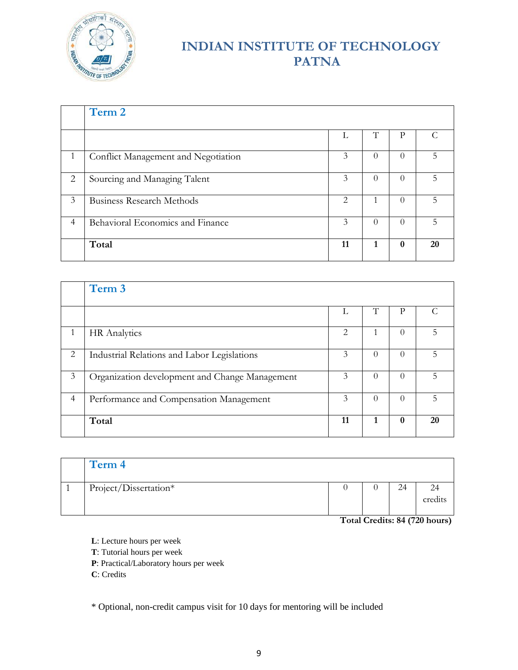

|                | Term 2                              |                |          |          |    |
|----------------|-------------------------------------|----------------|----------|----------|----|
|                |                                     | L              |          | Р        |    |
|                | Conflict Management and Negotiation | 3              | $\Omega$ | $\Omega$ | 5  |
| $\overline{2}$ | Sourcing and Managing Talent        | 3              | $\theta$ | $\theta$ | 5  |
| 3              | <b>Business Research Methods</b>    | $\mathfrak{D}$ |          | $\Omega$ | 5  |
| $\overline{4}$ | Behavioral Economics and Finance    | 3              | $\Omega$ | $\theta$ |    |
|                | Total                               | 11             | 1        | 0        | 20 |

|                | Term 3                                         |    |          |                  |    |
|----------------|------------------------------------------------|----|----------|------------------|----|
|                |                                                |    | Τ        | D                |    |
|                | <b>HR</b> Analytics                            | 2. |          |                  |    |
| 2              | Industrial Relations and Labor Legislations    | 3  | $\Omega$ | $\left( \right)$ | 5  |
| 3              | Organization development and Change Management | 3  | $\Omega$ | $\Omega$         |    |
| $\overline{4}$ | Performance and Compensation Management        | 3  | $\Omega$ | $\Omega$         |    |
|                | Total                                          | 11 |          | $\mathbf{0}$     | 20 |

| Term 4                |  |    |               |
|-----------------------|--|----|---------------|
| Project/Dissertation* |  | 24 | 24<br>credits |

**Total Credits: 84 (720 hours)**

- **L**: Lecture hours per week
- **T**: Tutorial hours per week

**P**: Practical/Laboratory hours per week

**C**: Credits

\* Optional, non-credit campus visit for 10 days for mentoring will be included